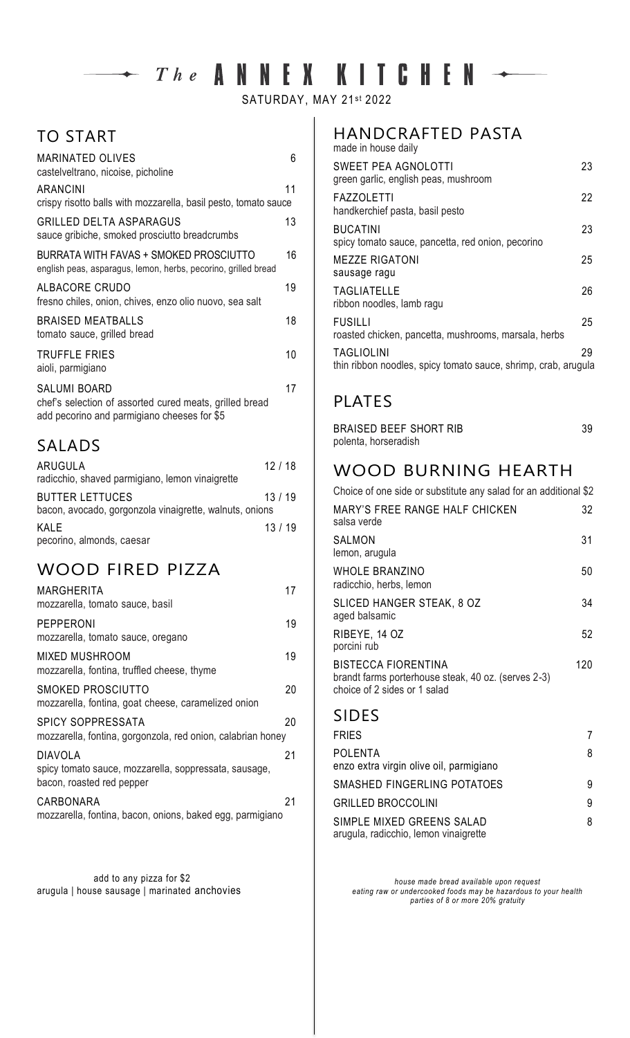# $\rightarrow$  The ANNEX KITCHEN  $\rightarrow$

SATURDAY, MAY 21st 2022

#### TO START

| <b>MARINATED OLIVES</b><br>castelveltrano, nicoise, picholine                                                   | 6  |
|-----------------------------------------------------------------------------------------------------------------|----|
| ARANCINI<br>crispy risotto balls with mozzarella, basil pesto, tomato sauce                                     | 11 |
| GRILLED DELTA ASPARAGUS<br>sauce gribiche, smoked prosciutto breadcrumbs                                        | 13 |
| <b>BURRATA WITH FAVAS + SMOKED PROSCIUTTO</b><br>english peas, asparagus, lemon, herbs, pecorino, grilled bread | 16 |
| ALBACORE CRUDO<br>fresno chiles, onion, chives, enzo olio nuovo, sea salt                                       | 19 |
| <b>BRAISED MEATBALLS</b><br>tomato sauce, grilled bread                                                         | 18 |
| <b>TRUFFLE FRIES</b><br>aioli, parmigiano                                                                       | 10 |
| <b>SALUMI BOARD</b><br>chaf's solection of asserted outed meats, arilled broad                                  | 17 |

chef's selection of assorted cured meats, grilled bread add pecorino and parmigiano cheeses for \$5

#### SALADS

| ARUGULA<br>radicchio, shaved parmigiano, lemon vinaigrette                        | 12/18 |  |
|-----------------------------------------------------------------------------------|-------|--|
| <b>BUTTER LETTUCES</b><br>bacon, avocado, gorgonzola vinaigrette, walnuts, onions | 13/19 |  |
| KALE<br>pecorino, almonds, caesar                                                 | 13/19 |  |

# WOOD FIRED PIZZA

| MARGHERITA<br>mozzarella, tomato sauce, basil                                                 | 17 |
|-----------------------------------------------------------------------------------------------|----|
| PEPPERONI<br>mozzarella, tomato sauce, oregano                                                | 19 |
| MIXED MUSHROOM<br>mozzarella, fontina, truffled cheese, thyme                                 | 19 |
| SMOKED PROSCIUTTO<br>mozzarella, fontina, goat cheese, caramelized onion                      | 20 |
| <b>SPICY SOPPRESSATA</b><br>mozzarella, fontina, gorgonzola, red onion, calabrian honey       | 20 |
| DIAVOLA<br>spicy tomato sauce, mozzarella, soppressata, sausage,<br>bacon, roasted red pepper | 21 |
| CARBONARA<br>mozzarella, fontina, bacon, onions, baked egg, parmigiano                        | 21 |

 add to any pizza for \$2 arugula | house sausage | marinated anchovies

#### HANDCRAFTED PASTA

| made in house daily                                                                 |    |
|-------------------------------------------------------------------------------------|----|
| <b>SWEET PEA AGNOLOTTI</b><br>green garlic, english peas, mushroom                  | 23 |
| FAZZOLETTI<br>handkerchief pasta, basil pesto                                       | 22 |
| <b>BUCATINI</b><br>spicy tomato sauce, pancetta, red onion, pecorino                | 23 |
| <b>MEZZE RIGATONI</b><br>sausage ragu                                               | 25 |
| <b>TAGLIATELLE</b><br>ribbon noodles, lamb ragu                                     | 26 |
| <b>FUSILLI</b><br>roasted chicken, pancetta, mushrooms, marsala, herbs              | 25 |
| <b>TAGLIOLINI</b><br>thin ribbon noodles, spicy tomato sauce, shrimp, crab, arugula | 29 |

#### PLATES

| BRAISED BEEF SHORT RIB | 39 |
|------------------------|----|
| polenta, horseradish   |    |

#### WOOD BURNING HEARTH

| Choice of one side or substitute any salad for an additional \$2                                                  |     |
|-------------------------------------------------------------------------------------------------------------------|-----|
| MARY'S FREE RANGE HALF CHICKEN<br>salsa verde                                                                     | 32  |
| SALMON<br>lemon, arugula                                                                                          | 31  |
| <b>WHOLE BRANZINO</b><br>radicchio, herbs, lemon                                                                  | 50  |
| SLICED HANGER STEAK, 8 OZ<br>aged balsamic                                                                        | 34  |
| RIBEYE, 14 OZ<br>porcini rub                                                                                      | 52  |
| <b>BISTECCA FIORENTINA</b><br>brandt farms porterhouse steak, 40 oz. (serves 2-3)<br>choice of 2 sides or 1 salad | 120 |

#### SIDES

| <b>FRIES</b>                                                       |   |
|--------------------------------------------------------------------|---|
| <b>POLENTA</b><br>enzo extra virgin olive oil, parmigiano          | 8 |
| SMASHED FINGERLING POTATOES                                        | 9 |
| <b>GRILLED BROCCOLINI</b>                                          | 9 |
| SIMPLE MIXED GREENS SALAD<br>arugula, radicchio, lemon vinaigrette | 8 |

*house made bread available upon request eating raw or undercooked foods may be hazardous to your health parties of 8 or more 20% gratuity*